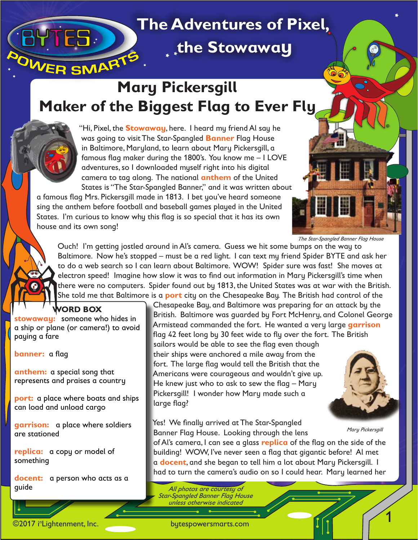## **The Adventures of Pixel,<br>OWER SMARTS ® the Stowaway <sup>i</sup>**

### **Mary Pickersgill Maker of the Biggest Flag to Ever Fly**



"Hi, Pixel, the **Stowaway**, here. I heard my friend Al say he was going to visit The Star-Spangled **Banner** Flag House in Baltimore, Maryland, to learn about Mary Pickersgill, a famous flag maker during the 1800's. You know me – I LOVE adventures, so I downloaded myself right into his digital camera to tag along. The national **anthem** of the United States is "The Star-Spangled Banner," and it was written about

a famous flag Mrs. Pickersgill made in 1813. I bet you've heard someone sing the anthem before football and baseball games played in the United States. I'm curious to know why this flag is so special that it has its own house and its own song!

The Star-Spangled Banner Flag House

**n**

©

Ouch! I'm getting jostled around in Al's camera. Guess we hit some bumps on the way to Baltimore. Now he's stopped – must be a red light. I can text my friend Spider BYTE and ask her to do a web search so I can learn about Baltimore. WOW! Spider sure was fast! She moves at electron speed! Imagine how slow it was to find out information in Mary Pickersgill's time when there were no computers. Spider found out by 1813, the United States was at war with the British. She told me that Baltimore is a **port** city on the Chesapeake Bay. The British had control of the

**WORD BOX stowaway:** someone who hides in a ship or plane (or camera!) to avoid paying a fare

**banner:** a flag

**i n** ©

**anthem:** a special song that represents and praises a country

**port:** a place where boats and ships can load and unload cargo

**garrison:** a place where soldiers are stationed

**replica:** a copy or model of something

**docent:** a person who acts as a guide

Chesapeake Bay, and Baltimore was preparing for an attack by the British. Baltimore was guarded by Fort McHenry, and Colonel George Armistead commanded the fort. He wanted a very large **garrison** flag 42 feet long by 30 feet wide to fly over the fort. The British sailors would be able to see the flag even though their ships were anchored a mile away from the fort. The large flag would tell the British that the Americans were courageous and wouldn't give up. He knew just who to ask to sew the flag – Mary Pickersgill! I wonder how Mary made such a large flag?

Yes! We finally arrived at The Star-Spangled Banner Flag House. Looking through the lens

Mary Pickersgill

1

of Al's camera, I can see a glass **replica** of the flag on the side of the building! WOW, I've never seen a flag that gigantic before! Al met a **docent**, and she began to tell him a lot about Mary Pickersgill. I had to turn the camera's audio on so I could hear. Mary learned her

All photos are courtesy of Star-Spangled Banner Flag House unless otherwise indicated

©2017 i<sup>n</sup>Lightenment, Inc.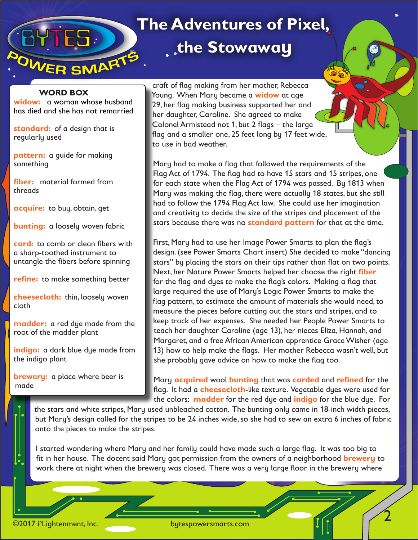## **EDITLE TERMARTS** the Stowaway

### **The Adventures of Pixel,**

#### **WORD BOX**

**widow:** a woman whose husband has died and she has not remarried

**standard:** of a design that is regularly used

**pattern:** a guide for making something

**fiber:** material formed from threads

**acquire:** to buy, obtain, get

**bunting:** a loosely woven fabric

**card:** to comb or clean fibers with a sharp-toothed instrument to untangle the fibers before spinning

**refine:** to make something better

**cheesecloth:** thin, loosely woven cloth

**madder:** a red dye made from the root of the madder plant

**indigo:** a dark blue dye made from the indigo plant

**brewery:** a place where beer is made

craft of flag making from her mother, Rebecca Young. When Mary became a **widow** at age 29, her flag making business supported her and her daughter, Caroline. She agreed to make Colonel Armistead not 1, but 2 flags – the large flag and a smaller one, 25 feet long by 17 feet wide, to use in bad weather.

Mary had to make a flag that followed the requirements of the Flag Act of 1794. The flag had to have 15 stars and 15 stripes, one for each state when the Flag Act of 1794 was passed. By 1813 when Mary was making the flag, there were actually 18 states, but she still had to follow the 1794 Flag Act law. She could use her imagination and creativity to decide the size of the stripes and placement of the stars because there was no **standard pattern** for that at the time.

**n**

©

2

First, Mary had to use her Image Power Smarts to plan the flag's design. (see Power Smarts Chart insert) She decided to make "dancing stars" by placing the stars on their tips rather than flat on two points. Next, her Nature Power Smarts helped her choose the right **fiber** for the flag and dyes to make the flag's colors. Making a flag that large required the use of Mary's Logic Power Smarts to make the flag pattern, to estimate the amount of materials she would need, to measure the pieces before cutting out the stars and stripes, and to keep track of her expenses. She needed her People Power Smarts to teach her daughter Caroline (age 13), her nieces Eliza, Hannah, and Margaret, and a free African American apprentice Grace Wisher (age 13) how to help make the flags. Her mother Rebecca wasn't well, but she probably gave advice on how to make the flag too.

Mary **acquired** wool **bunting** that was **carded** and **refined** for the flag. It had a **cheesecloth**-like texture. Vegetable dyes were used for the colors: **madder** for the red dye and **indigo** for the blue dye. For

the stars and white stripes, Mary used unbleached cotton. The bunting only came in 18-inch width pieces, but Mary's design called for the stripes to be 24 inches wide, so she had to sew an extra 6 inches of fabric onto the pieces to make the stripes.

I started wondering where Mary and her family could have made such a large flag. It was too big to fit in her house. The docent said Mary got permission from the owners of a neighborhood **brewery** to work there at night when the brewery was closed. There was a very large floor in the brewery where

©2017 i<sup>n</sup>Lightenment, Inc.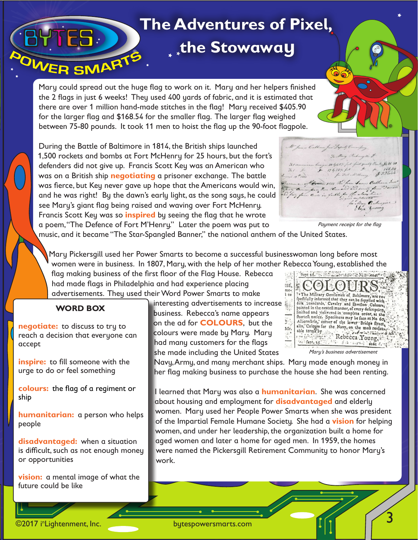# **THES. THE Adventures of Pixel,<br>ER SMARTS READ READ FRAMARTS**

**® the Stowaway <sup>i</sup>**

Mary could spread out the huge flag to work on it. Mary and her helpers finished the 2 flags in just 6 weeks! They used 400 yards of fabric, and it is estimated that there are over 1 million hand-made stitches in the flag! Mary received \$405.90 for the larger flag and \$168.54 for the smaller flag. The larger flag weighed between 75-80 pounds. It took 11 men to hoist the flag up the 90-foot flagpole.

During the Battle of Baltimore in 1814, the British ships launched 1,500 rockets and bombs at Fort McHenry for 25 hours, but the fort's defenders did not give up. Francis Scott Key was an American who was on a British ship **negotiating** a prisoner exchange. The battle was fierce, but Key never gave up hope that the Americans would win, and he was right! By the dawn's early light, as the song says, he could see Mary's giant flag being raised and waving over Fort McHenry. Francis Scott Key was so **inspired** by seeing the flag that he wrote a poem, "The Defence of Fort M'Henry." Later the poem was put to

M James Calhoun Jun Deputy Commission 7. Mary Richmond & hind quality Bunt \$405 90  $7.1 - 1$  $17625\%$  $8.57$ L. J.l. Williams me 19th 1913  $\frac{a_{1}}{b_{1}+...}$ . D'fur faire con . Pickurgice  $t_{\text{obs}}$  $i.e.$ 

Payment receipt for the flag

**n**

©

music, and it became "The Star-Spangled Banner," the national anthem of the United States.

Mary Pickersgill used her Power Smarts to become a successful businesswoman long before most women were in business. In 1807, Mary, with the help of her mother Rebecca Young, established the

flag making business of the first floor of the Flag House. Rebecca had made flags in Philadelphia and had experience placing advertisements. They used their Word Power Smarts to make

### **WORD BOX**

**negotiate:** to discuss to try to reach a decision that everyone can accept

**inspire:** to fill someone with the urge to do or feel something

**colours:** the flag of a regiment or ship

**humanitarian:** a person who helps people

**disadvantaged:** when a situation is difficult, such as not enough money or opportunities

**vision:** a mental image of what the future could be like

n Lightenment, Inc.

**by** ©2017 i

interesting advertisements to increase business. Rebecca's name appears on the ad for **COLOURS**, but the colours were made by Mary. Mary had many customers for the flags she made including the United States



Mary's business advertisement

Navy, Army, and many merchant ships. Mary made enough money in her flag making business to purchase the house she had been renting.

I learned that Mary was also a **humanitarian**. She was concerned about housing and employment for **disadvantaged** and elderly women. Mary used her People Power Smarts when she was president of the Impartial Female Humane Society. She had a **vision** for helping women, and under her leadership, the organization built a home for aged women and later a home for aged men. In 1959, the homes were named the Pickersgill Retirement Community to honor Mary's work.